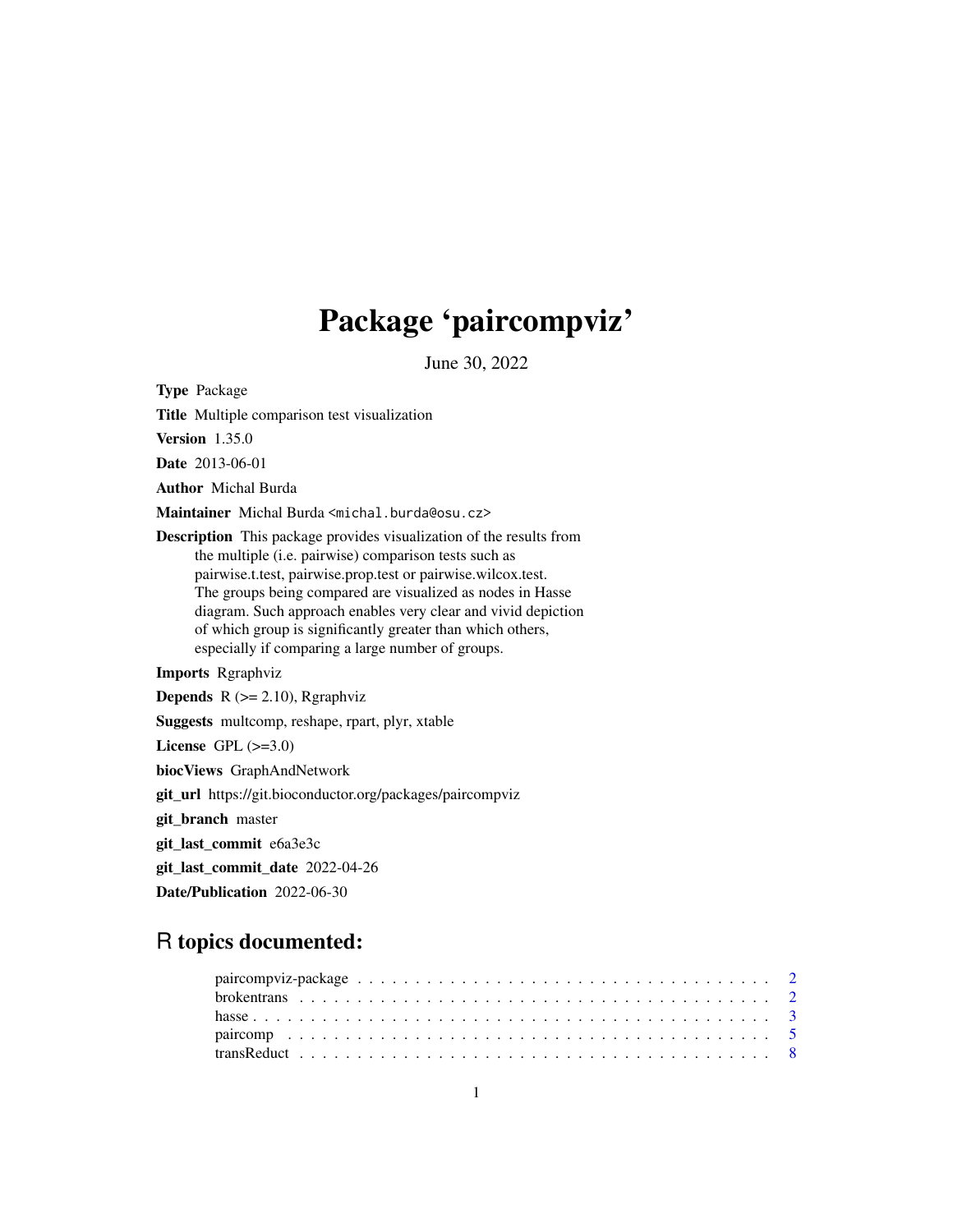# Package 'paircompviz'

June 30, 2022

<span id="page-0-0"></span>Type Package

Title Multiple comparison test visualization

Version 1.35.0

Date 2013-06-01

Author Michal Burda

Maintainer Michal Burda <michal.burda@osu.cz>

Description This package provides visualization of the results from the multiple (i.e. pairwise) comparison tests such as pairwise.t.test, pairwise.prop.test or pairwise.wilcox.test. The groups being compared are visualized as nodes in Hasse diagram. Such approach enables very clear and vivid depiction of which group is significantly greater than which others, especially if comparing a large number of groups.

Imports Rgraphviz

**Depends**  $R$  ( $>= 2.10$ ), Rgraphviz

Suggests multcomp, reshape, rpart, plyr, xtable

License GPL  $(>=3.0)$ 

biocViews GraphAndNetwork

git\_url https://git.bioconductor.org/packages/paircompviz

git\_branch master

git\_last\_commit e6a3e3c

git\_last\_commit\_date 2022-04-26

Date/Publication 2022-06-30

# R topics documented: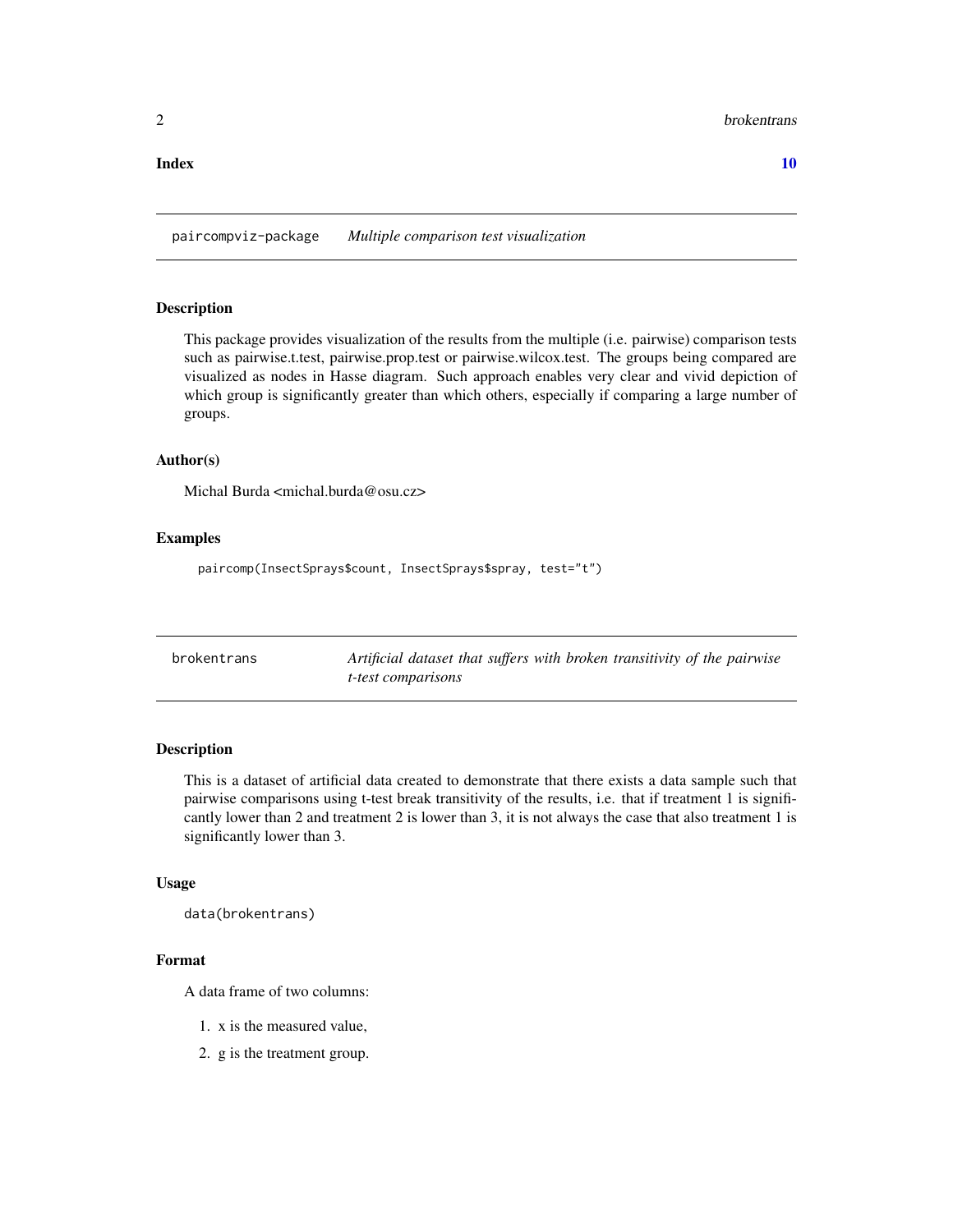# <span id="page-1-0"></span> $\blacksquare$

paircompviz-package *Multiple comparison test visualization*

# Description

This package provides visualization of the results from the multiple (i.e. pairwise) comparison tests such as pairwise.t.test, pairwise.prop.test or pairwise.wilcox.test. The groups being compared are visualized as nodes in Hasse diagram. Such approach enables very clear and vivid depiction of which group is significantly greater than which others, especially if comparing a large number of groups.

# Author(s)

Michal Burda <michal.burda@osu.cz>

# Examples

paircomp(InsectSprays\$count, InsectSprays\$spray, test="t")

| brokentrans |  |
|-------------|--|
|-------------|--|

Artificial dataset that suffers with broken transitivity of the pairwise *t-test comparisons*

# Description

This is a dataset of artificial data created to demonstrate that there exists a data sample such that pairwise comparisons using t-test break transitivity of the results, i.e. that if treatment 1 is significantly lower than 2 and treatment 2 is lower than 3, it is not always the case that also treatment 1 is significantly lower than 3.

#### Usage

data(brokentrans)

# Format

A data frame of two columns:

- 1. x is the measured value,
- 2. g is the treatment group.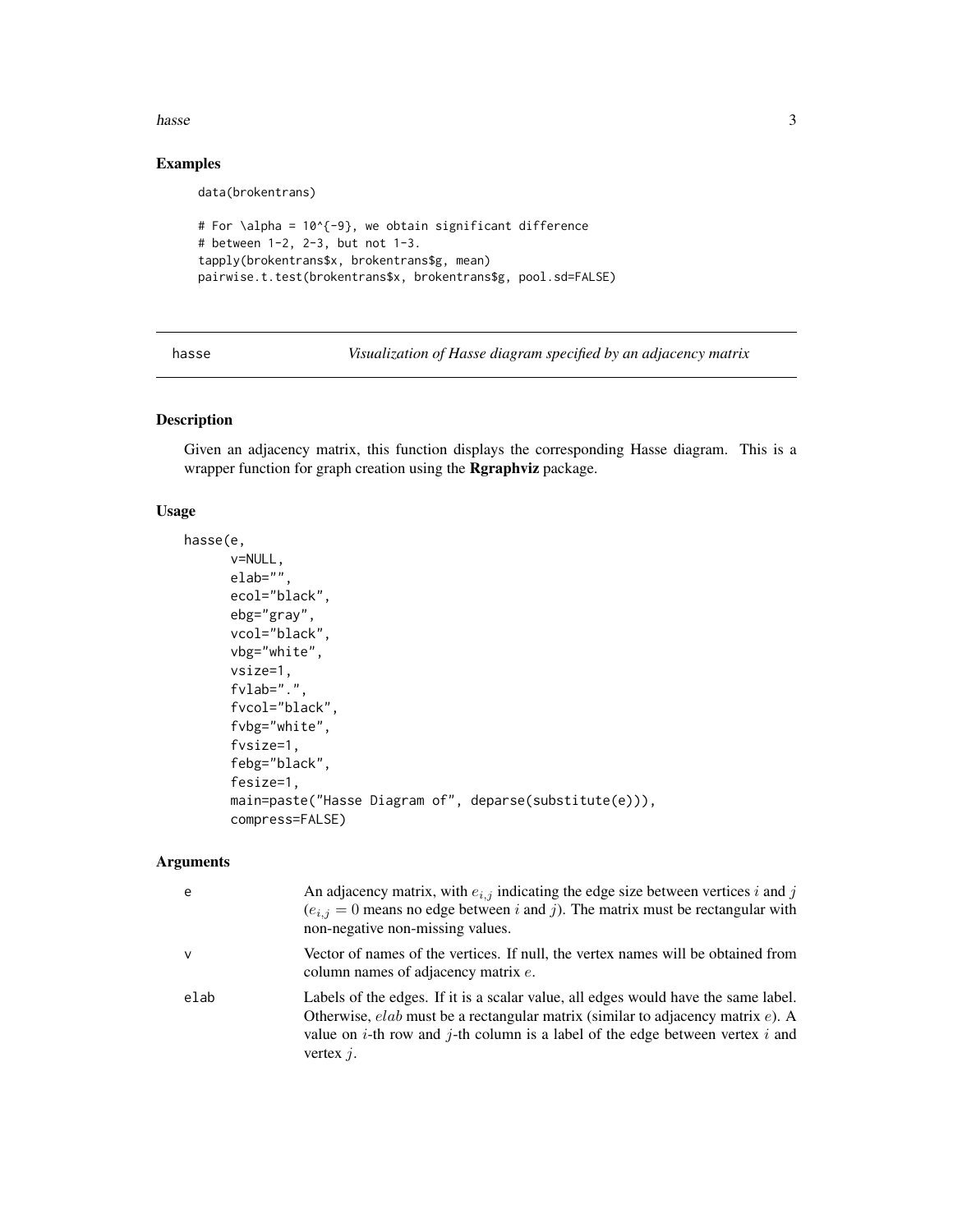# <span id="page-2-0"></span>hasse 3

# Examples

data(brokentrans)

```
# For \alpha = 10^{-9}, we obtain significant difference
# between 1-2, 2-3, but not 1-3.
tapply(brokentrans$x, brokentrans$g, mean)
pairwise.t.test(brokentrans$x, brokentrans$g, pool.sd=FALSE)
```
<span id="page-2-1"></span>hasse *Visualization of Hasse diagram specified by an adjacency matrix*

# Description

Given an adjacency matrix, this function displays the corresponding Hasse diagram. This is a wrapper function for graph creation using the Rgraphviz package.

# Usage

```
hasse(e,
      v=NULL,
      elab="",
      ecol="black",
      ebg="gray",
      vcol="black",
      vbg="white",
      vsize=1,
      fvlab=".",
      fvcol="black",
      fvbg="white",
      fvsize=1,
      febg="black",
      fesize=1,
      main=paste("Hasse Diagram of", deparse(substitute(e))),
      compress=FALSE)
```
# Arguments

| e            | An adjacency matrix, with $e_{i,j}$ indicating the edge size between vertices i and j<br>$(e_{i,j} = 0$ means no edge between i and j). The matrix must be rectangular with<br>non-negative non-missing values.                                                                                    |
|--------------|----------------------------------------------------------------------------------------------------------------------------------------------------------------------------------------------------------------------------------------------------------------------------------------------------|
| $\mathsf{v}$ | Vector of names of the vertices. If null, the vertex names will be obtained from<br>column names of adjacency matrix e.                                                                                                                                                                            |
| elab         | Labels of the edges. If it is a scalar value, all edges would have the same label.<br>Otherwise, $elab$ must be a rectangular matrix (similar to adjacency matrix $e$ ). A<br>value on <i>i</i> -th row and <i>j</i> -th column is a label of the edge between vertex <i>i</i> and<br>vertex $i$ . |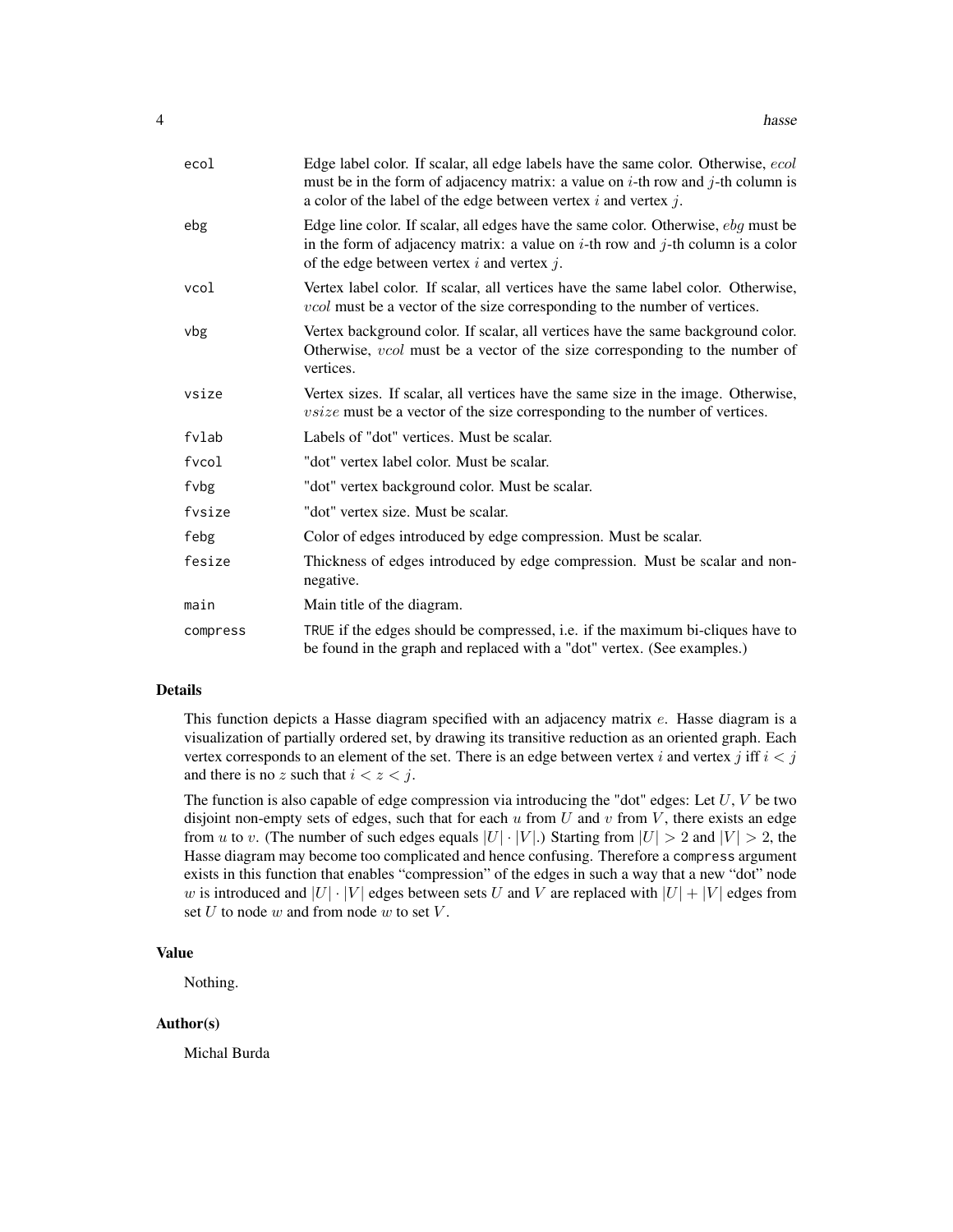| ecol     | Edge label color. If scalar, all edge labels have the same color. Otherwise, ecol<br>must be in the form of adjacency matrix: a value on $i$ -th row and $j$ -th column is<br>a color of the label of the edge between vertex $i$ and vertex $j$ . |
|----------|----------------------------------------------------------------------------------------------------------------------------------------------------------------------------------------------------------------------------------------------------|
| ebg      | Edge line color. If scalar, all edges have the same color. Otherwise, ebg must be<br>in the form of adjacency matrix: a value on $i$ -th row and $j$ -th column is a color<br>of the edge between vertex $i$ and vertex $j$ .                      |
| vcol     | Vertex label color. If scalar, all vertices have the same label color. Otherwise,<br><i>vcol</i> must be a vector of the size corresponding to the number of vertices.                                                                             |
| vbg      | Vertex background color. If scalar, all vertices have the same background color.<br>Otherwise, <i>vcol</i> must be a vector of the size corresponding to the number of<br>vertices.                                                                |
| vsize    | Vertex sizes. If scalar, all vertices have the same size in the image. Otherwise,<br><i>vsize</i> must be a vector of the size corresponding to the number of vertices.                                                                            |
| fvlab    | Labels of "dot" vertices. Must be scalar.                                                                                                                                                                                                          |
| fvcol    | "dot" vertex label color. Must be scalar.                                                                                                                                                                                                          |
| fvbg     | "dot" vertex background color. Must be scalar.                                                                                                                                                                                                     |
| fvsize   | "dot" vertex size. Must be scalar.                                                                                                                                                                                                                 |
| febg     | Color of edges introduced by edge compression. Must be scalar.                                                                                                                                                                                     |
| fesize   | Thickness of edges introduced by edge compression. Must be scalar and non-<br>negative.                                                                                                                                                            |
| main     | Main title of the diagram.                                                                                                                                                                                                                         |
| compress | TRUE if the edges should be compressed, i.e. if the maximum bi-cliques have to<br>be found in the graph and replaced with a "dot" vertex. (See examples.)                                                                                          |

# Details

This function depicts a Hasse diagram specified with an adjacency matrix  $e$ . Hasse diagram is a visualization of partially ordered set, by drawing its transitive reduction as an oriented graph. Each vertex corresponds to an element of the set. There is an edge between vertex i and vertex j iff  $i < j$ and there is no z such that  $i < z < j$ .

The function is also capable of edge compression via introducing the "dot" edges: Let  $U, V$  be two disjoint non-empty sets of edges, such that for each  $u$  from  $U$  and  $v$  from  $V$ , there exists an edge from u to v. (The number of such edges equals  $|U| \cdot |V|$ .) Starting from  $|U| > 2$  and  $|V| > 2$ , the Hasse diagram may become too complicated and hence confusing. Therefore a compress argument exists in this function that enables "compression" of the edges in such a way that a new "dot" node w is introduced and  $|U| \cdot |V|$  edges between sets U and V are replaced with  $|U| + |V|$  edges from set  $U$  to node  $w$  and from node  $w$  to set  $V$ .

# Value

Nothing.

# Author(s)

Michal Burda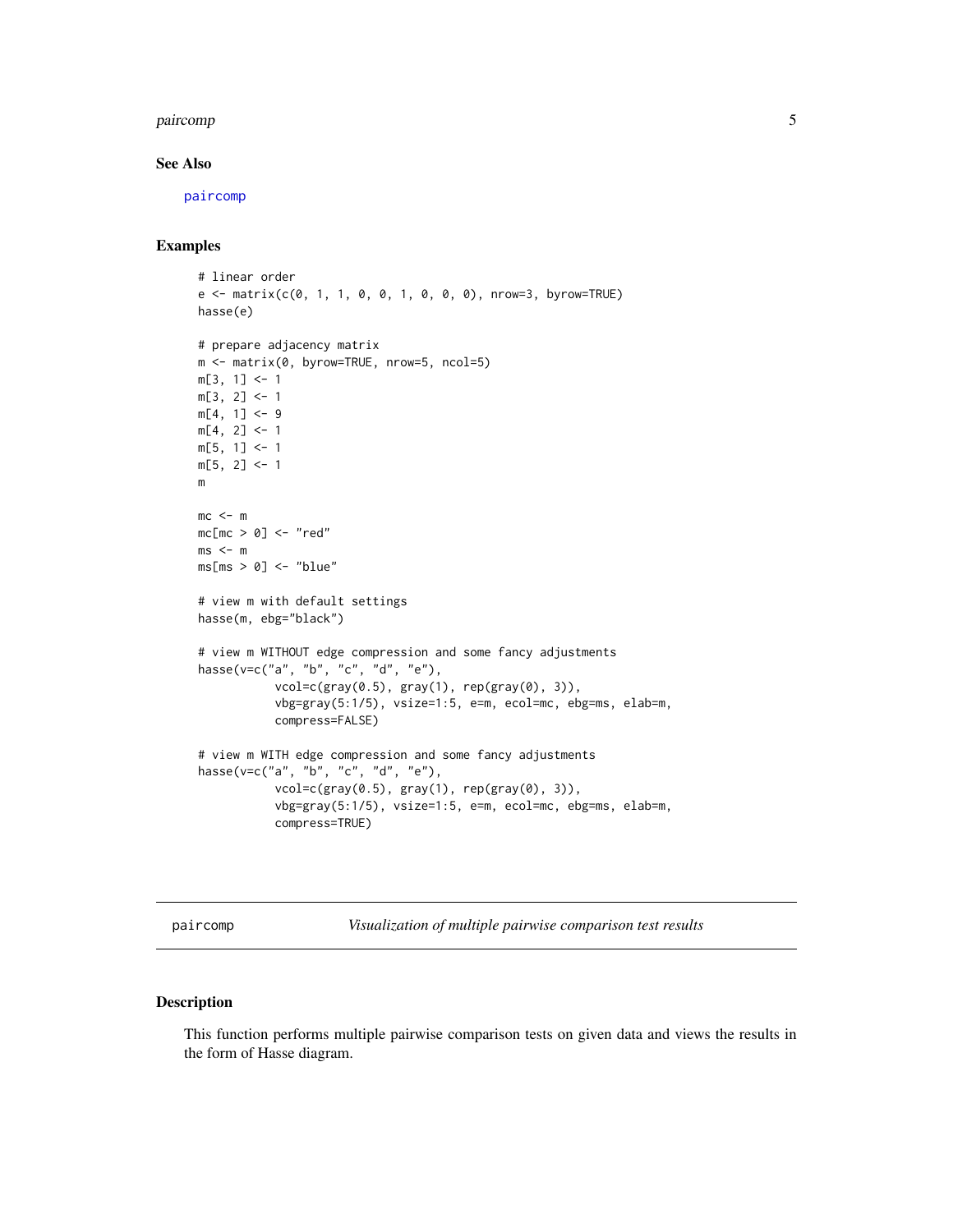# <span id="page-4-0"></span>paircomp 55 to 55 to 55 to 55 to 55 to 55 to 55 to 55 to 55 to 55 to 55 to 55 to 55 to 55 to 55 to 55 to 55 to

# See Also

[paircomp](#page-4-1)

# Examples

```
# linear order
e \le - matrix(c(0, 1, 1, 0, 0, 1, 0, 0, 0), nrow=3, byrow=TRUE)
hasse(e)
# prepare adjacency matrix
m <- matrix(0, byrow=TRUE, nrow=5, ncol=5)
m[3, 1] <- 1
m[3, 2] <- 1
m[4, 1] < -9m[4, 2] <- 1
m[5, 1] <- 1
m[5, 2] <- 1
m
mc < - mmc[mc > 0] <- "red"
ms < - mms[ms > 0] \le - "blue"
# view m with default settings
hasse(m, ebg="black")
# view m WITHOUT edge compression and some fancy adjustments
hasse(v=c("a", "b", "c", "d", "e"),
           vcol=c(gray(0.5), gray(1), rep(gray(0), 3)),
           vbg=gray(5:1/5), vsize=1:5, e=m, ecol=mc, ebg=ms, elab=m,
           compress=FALSE)
# view m WITH edge compression and some fancy adjustments
hasse(v=c("a", "b", "c", "d", "e"),
           vcol=c(gray(0.5), gray(1), rep(gray(0), 3)),vbg=gray(5:1/5), vsize=1:5, e=m, ecol=mc, ebg=ms, elab=m,
           compress=TRUE)
```
<span id="page-4-1"></span>paircomp *Visualization of multiple pairwise comparison test results*

# Description

This function performs multiple pairwise comparison tests on given data and views the results in the form of Hasse diagram.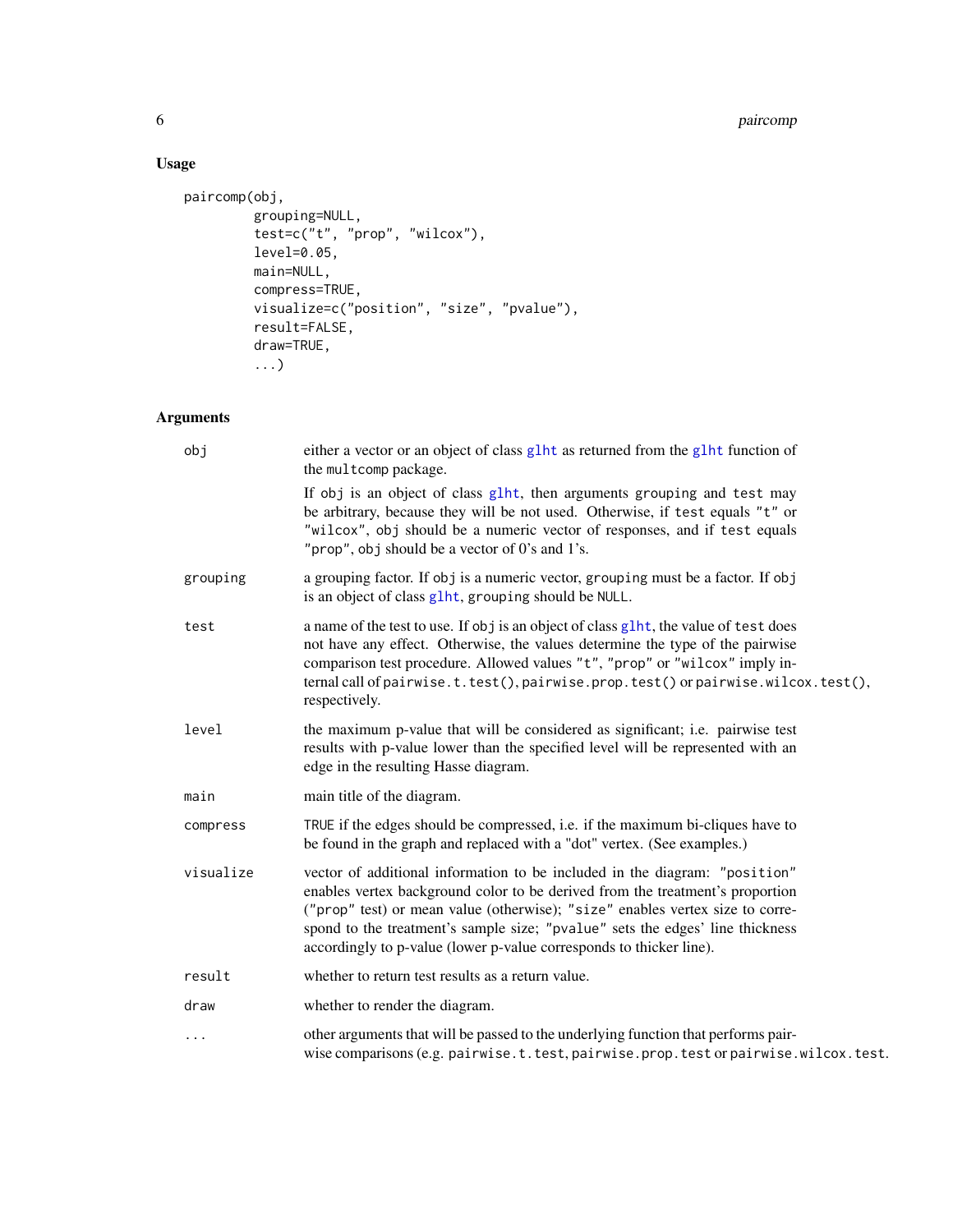# 6 paircomp

# Usage

```
paircomp(obj,
         grouping=NULL,
         test=c("t", "prop", "wilcox"),
         level=0.05,
        main=NULL,
         compress=TRUE,
        visualize=c("position", "size", "pvalue"),
         result=FALSE,
         draw=TRUE,
         ...)
```
# Arguments

| obj       | either a vector or an object of class g1ht as returned from the g1ht function of<br>the multcomp package.                                                                                                                                                                                                                                                                                            |
|-----------|------------------------------------------------------------------------------------------------------------------------------------------------------------------------------------------------------------------------------------------------------------------------------------------------------------------------------------------------------------------------------------------------------|
|           | If obj is an object of class glht, then arguments grouping and test may<br>be arbitrary, because they will be not used. Otherwise, if test equals "t" or<br>"wilcox", obj should be a numeric vector of responses, and if test equals<br>"prop", obj should be a vector of $0$ 's and $1$ 's.                                                                                                        |
| grouping  | a grouping factor. If obj is a numeric vector, grouping must be a factor. If obj<br>is an object of class glht, grouping should be NULL.                                                                                                                                                                                                                                                             |
| test      | a name of the test to use. If obj is an object of class glht, the value of test does<br>not have any effect. Otherwise, the values determine the type of the pairwise<br>comparison test procedure. Allowed values "t", "prop" or "wilcox" imply in-<br>ternal call of pairwise.t.test(), pairwise.prop.test() or pairwise.wilcox.test(),<br>respectively.                                           |
| level     | the maximum p-value that will be considered as significant; i.e. pairwise test<br>results with p-value lower than the specified level will be represented with an<br>edge in the resulting Hasse diagram.                                                                                                                                                                                            |
| main      | main title of the diagram.                                                                                                                                                                                                                                                                                                                                                                           |
| compress  | TRUE if the edges should be compressed, i.e. if the maximum bi-cliques have to<br>be found in the graph and replaced with a "dot" vertex. (See examples.)                                                                                                                                                                                                                                            |
| visualize | vector of additional information to be included in the diagram: "position"<br>enables vertex background color to be derived from the treatment's proportion<br>("prop" test) or mean value (otherwise); "size" enables vertex size to corre-<br>spond to the treatment's sample size; "pvalue" sets the edges' line thickness<br>accordingly to p-value (lower p-value corresponds to thicker line). |
| result    | whether to return test results as a return value.                                                                                                                                                                                                                                                                                                                                                    |
| draw      | whether to render the diagram.                                                                                                                                                                                                                                                                                                                                                                       |
| $\cdots$  | other arguments that will be passed to the underlying function that performs pair-<br>wise comparisons (e.g. pairwise.t.test, pairwise.prop.test or pairwise.wilcox.test.                                                                                                                                                                                                                            |

<span id="page-5-0"></span>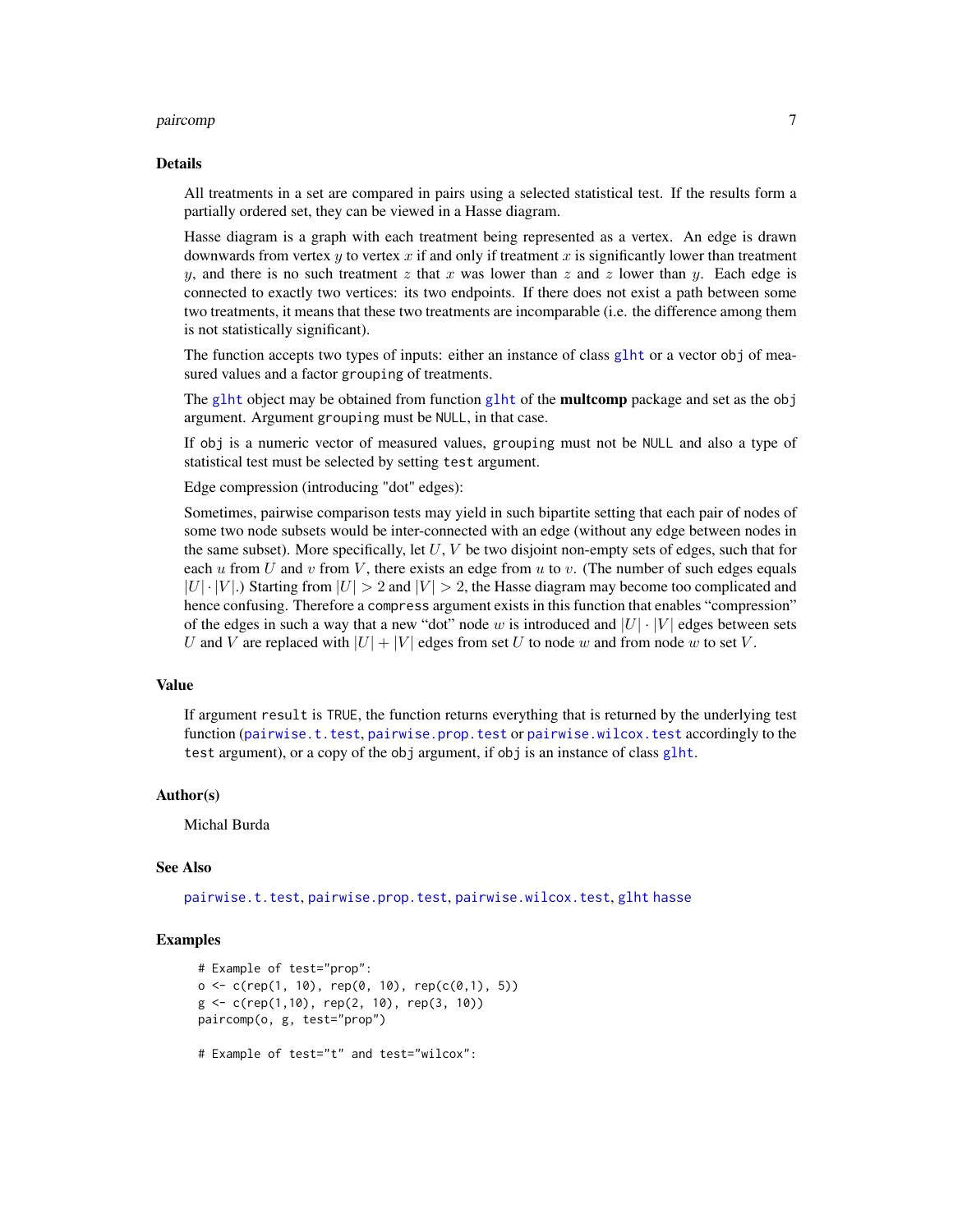# <span id="page-6-0"></span>paircomp and the contract of the contract of the contract of the contract of the contract of the contract of the contract of the contract of the contract of the contract of the contract of the contract of the contract of t

#### Details

All treatments in a set are compared in pairs using a selected statistical test. If the results form a partially ordered set, they can be viewed in a Hasse diagram.

Hasse diagram is a graph with each treatment being represented as a vertex. An edge is drawn downwards from vertex y to vertex x if and only if treatment x is significantly lower than treatment y, and there is no such treatment z that x was lower than z and z lower than y. Each edge is connected to exactly two vertices: its two endpoints. If there does not exist a path between some two treatments, it means that these two treatments are incomparable (i.e. the difference among them is not statistically significant).

The function accepts two types of inputs: either an instance of class [glht](#page-0-0) or a vector obj of measured values and a factor grouping of treatments.

The [glht](#page-0-0) object may be obtained from function glht of the **multcomp** package and set as the obj argument. Argument grouping must be NULL, in that case.

If obj is a numeric vector of measured values, grouping must not be NULL and also a type of statistical test must be selected by setting test argument.

Edge compression (introducing "dot" edges):

Sometimes, pairwise comparison tests may yield in such bipartite setting that each pair of nodes of some two node subsets would be inter-connected with an edge (without any edge between nodes in the same subset). More specifically, let  $U, V$  be two disjoint non-empty sets of edges, such that for each u from U and v from V, there exists an edge from u to v. (The number of such edges equals  $|U| \cdot |V|$ .) Starting from  $|U| > 2$  and  $|V| > 2$ , the Hasse diagram may become too complicated and hence confusing. Therefore a compress argument exists in this function that enables "compression" of the edges in such a way that a new "dot" node w is introduced and  $|U| \cdot |V|$  edges between sets U and V are replaced with  $|U| + |V|$  edges from set U to node w and from node w to set V.

# Value

If argument result is TRUE, the function returns everything that is returned by the underlying test function ([pairwise.t.test](#page-0-0), [pairwise.prop.test](#page-0-0) or [pairwise.wilcox.test](#page-0-0) accordingly to the test argument), or a copy of the obj argument, if obj is an instance of class [glht](#page-0-0).

# Author(s)

Michal Burda

# See Also

[pairwise.t.test](#page-0-0), [pairwise.prop.test](#page-0-0), [pairwise.wilcox.test](#page-0-0), [glht](#page-0-0) [hasse](#page-2-1)

# Examples

```
# Example of test="prop":
o \leq c(\text{rep}(1, 10), \text{rep}(0, 10), \text{rep}(c(0,1), 5))g \leftarrow c(rep(1,10), rep(2, 10), rep(3, 10))paircomp(o, g, test="prop")
# Example of test="t" and test="wilcox":
```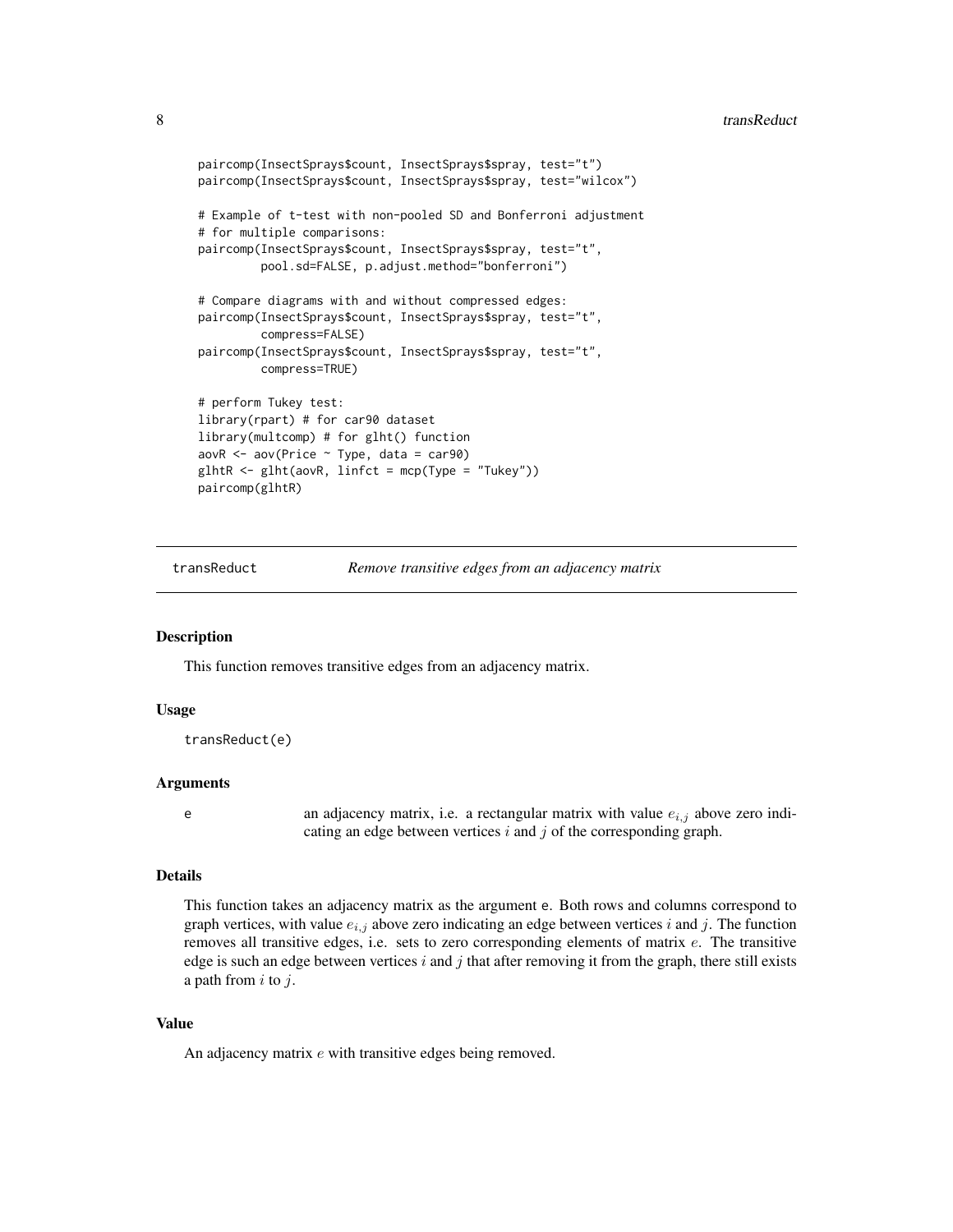# <span id="page-7-0"></span>8 transReduct transPolarization of the contract of the contract of the contract of the contract of the contract of the contract of the contract of the contract of the contract of the contract of the contract of the contrac

```
paircomp(InsectSprays$count, InsectSprays$spray, test="t")
paircomp(InsectSprays$count, InsectSprays$spray, test="wilcox")
# Example of t-test with non-pooled SD and Bonferroni adjustment
# for multiple comparisons:
paircomp(InsectSprays$count, InsectSprays$spray, test="t",
         pool.sd=FALSE, p.adjust.method="bonferroni")
# Compare diagrams with and without compressed edges:
paircomp(InsectSprays$count, InsectSprays$spray, test="t",
         compress=FALSE)
paircomp(InsectSprays$count, InsectSprays$spray, test="t",
         compress=TRUE)
# perform Tukey test:
library(rpart) # for car90 dataset
library(multcomp) # for glht() function
aovR <- aov(Price ~ Type, data = car90)
glhtR < - glht(aovR, linfct = mcp(Type = "Tukey"))paircomp(glhtR)
```
transReduct *Remove transitive edges from an adjacency matrix*

#### **Description**

This function removes transitive edges from an adjacency matrix.

#### Usage

```
transReduct(e)
```
#### Arguments

e an adjacency matrix, i.e. a rectangular matrix with value  $e_{i,j}$  above zero indicating an edge between vertices  $i$  and  $j$  of the corresponding graph.

# Details

This function takes an adjacency matrix as the argument e. Both rows and columns correspond to graph vertices, with value  $e_{i,j}$  above zero indicating an edge between vertices i and j. The function removes all transitive edges, i.e. sets to zero corresponding elements of matrix e. The transitive edge is such an edge between vertices  $i$  and  $j$  that after removing it from the graph, there still exists a path from  $i$  to  $j$ .

# Value

An adjacency matrix  $e$  with transitive edges being removed.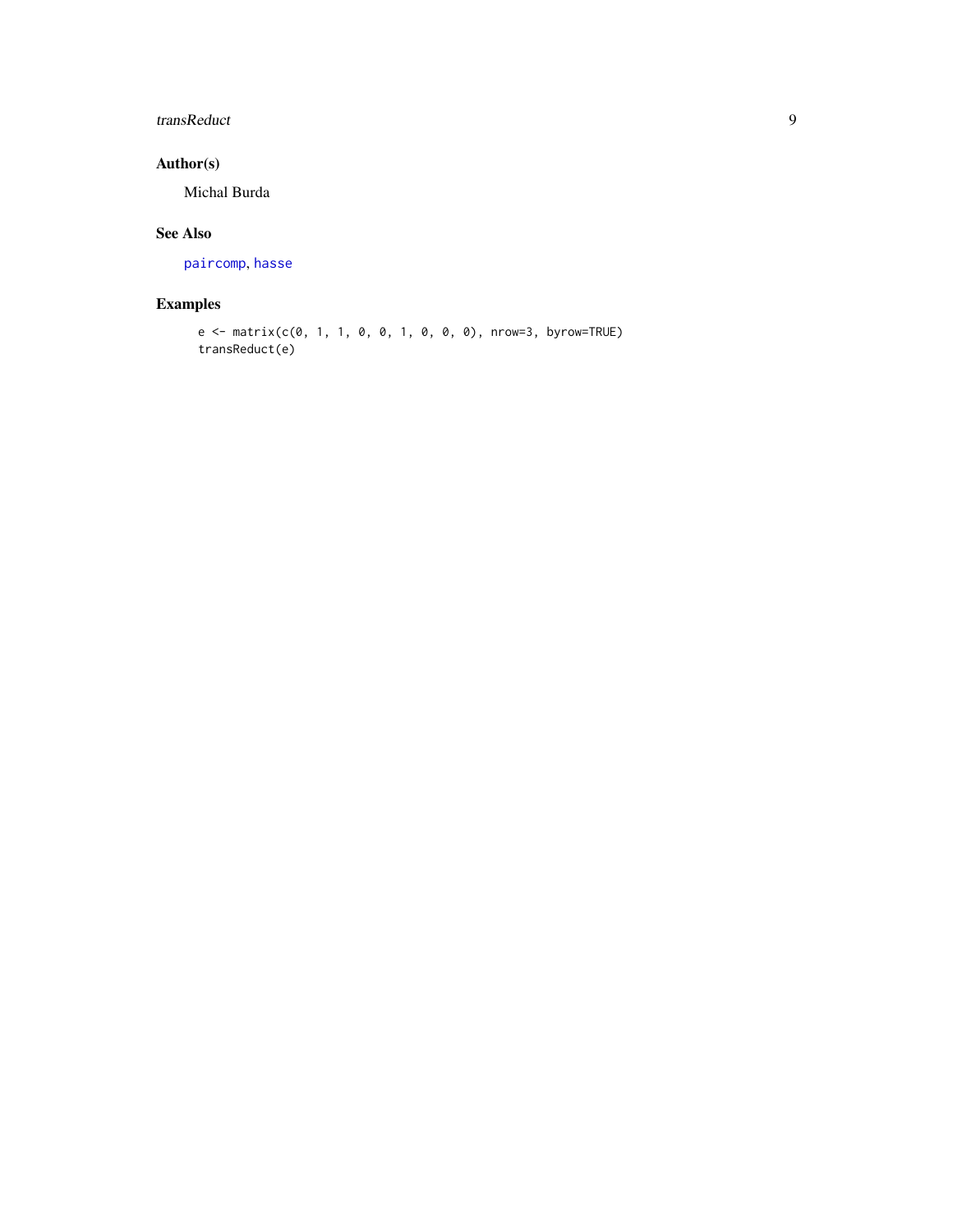# <span id="page-8-0"></span>transReduct 9

# Author(s)

Michal Burda

# See Also

[paircomp](#page-4-1), [hasse](#page-2-1)

# Examples

```
e <- matrix(c(0, 1, 1, 0, 0, 1, 0, 0, 0), nrow=3, byrow=TRUE)
transReduct(e)
```